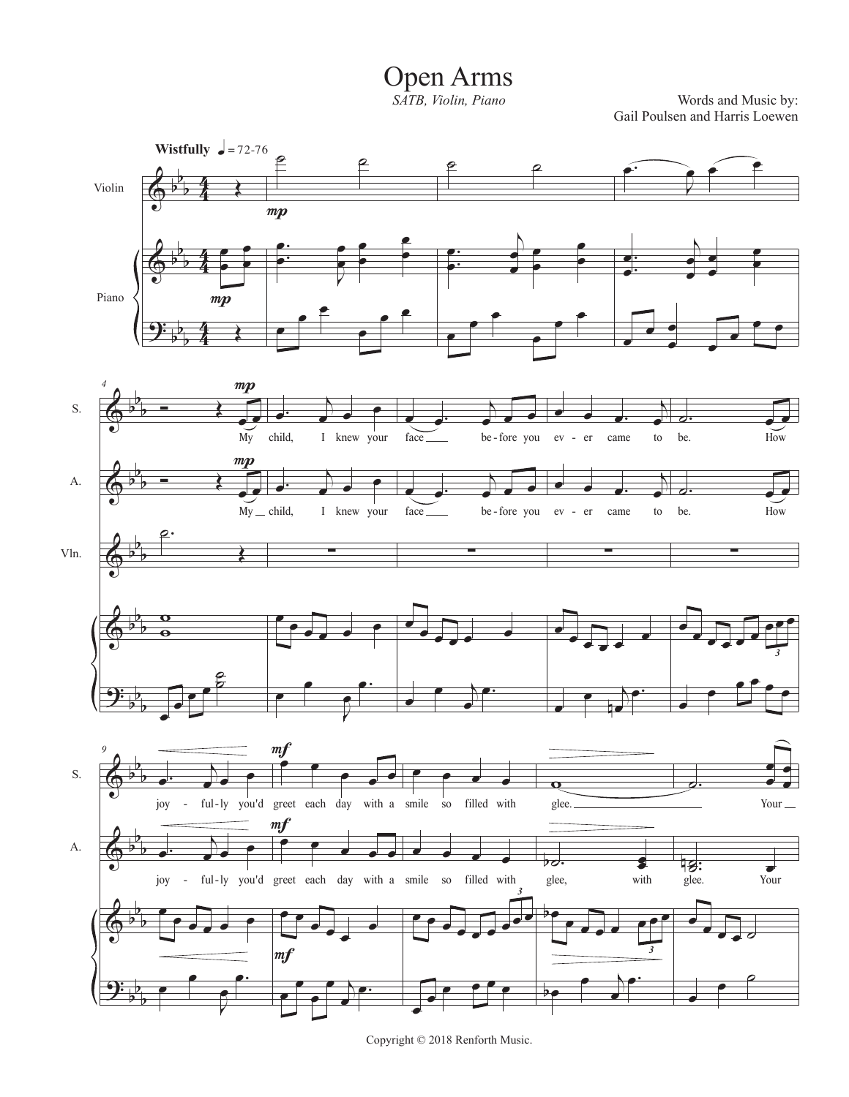## Open Arms

*SATB, Violin, Piano*

Words and Music by: Gail Poulsen and Harris Loewen



Copyright © 2018 Renforth Music.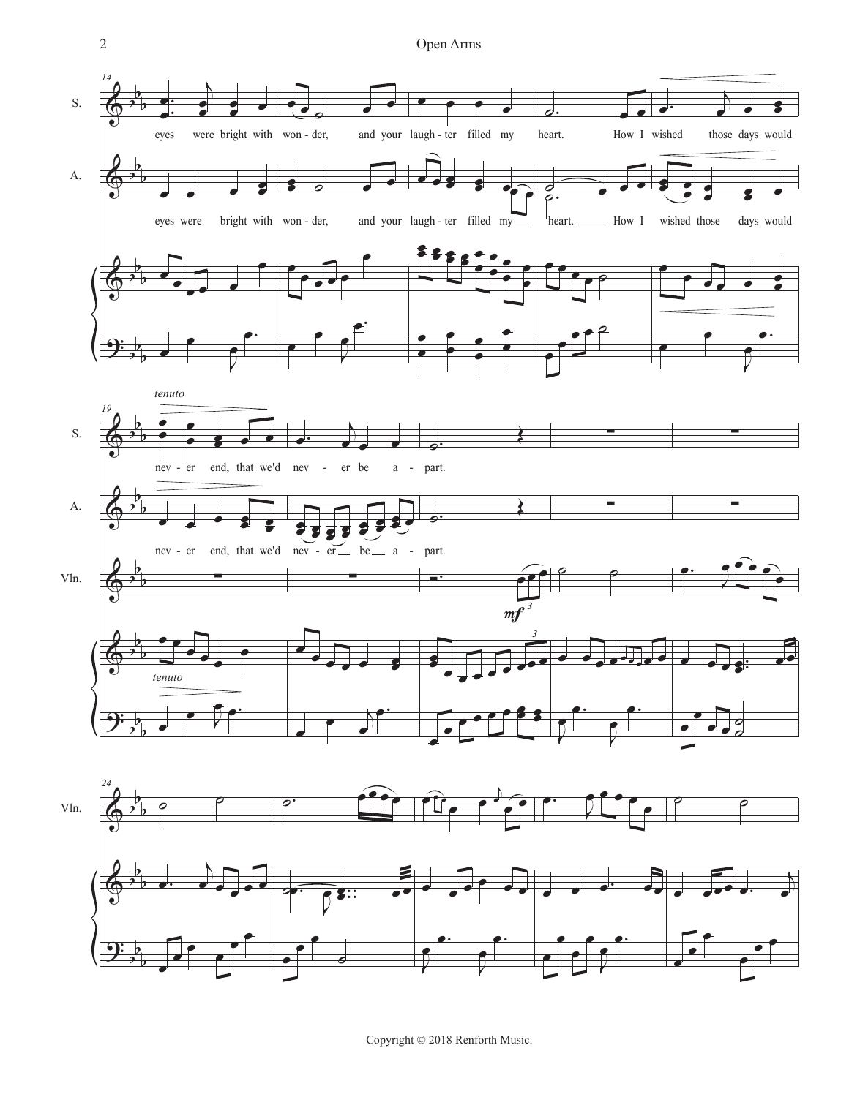

Copyright © 2018 Renforth Music.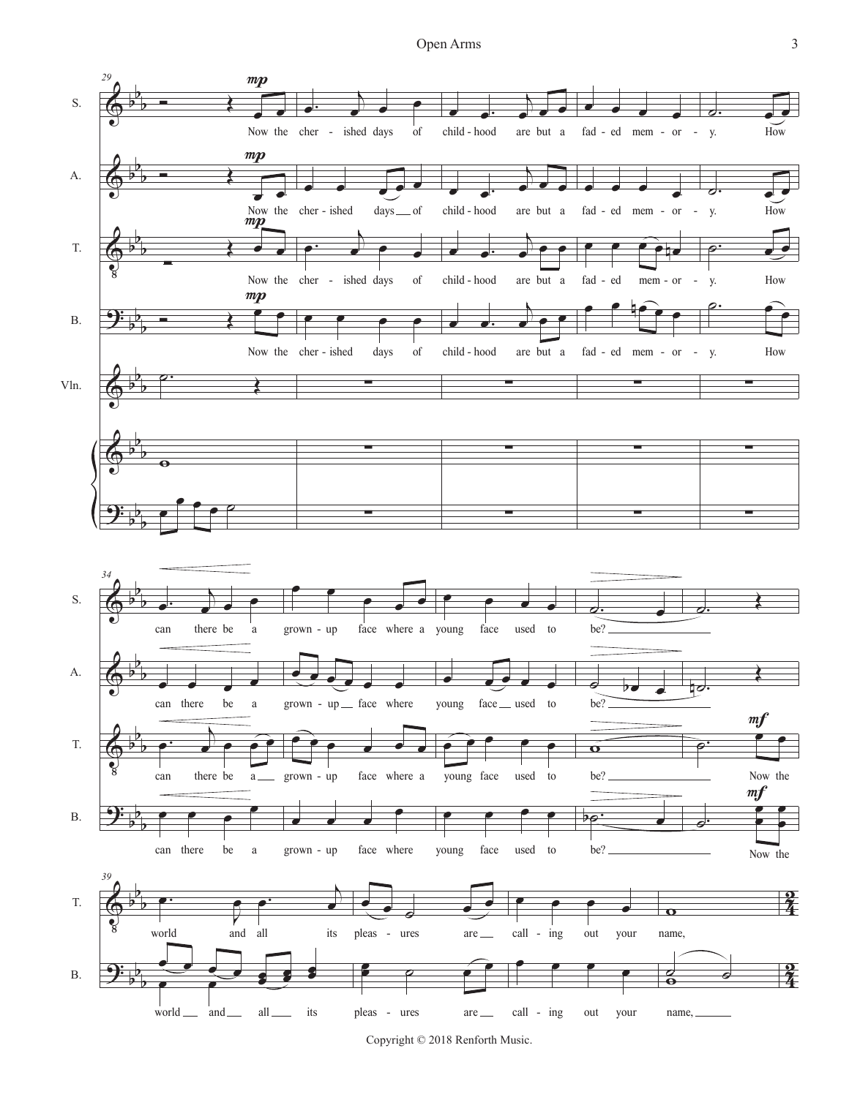

Copyright © 2018 Renforth Music.